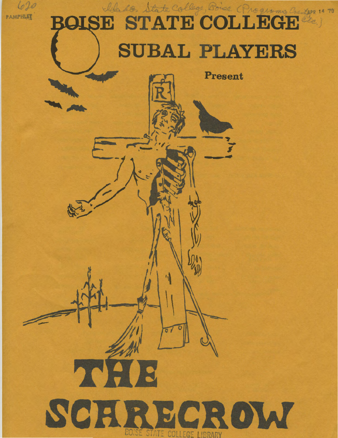

# Made State College, Point Programs Co *ZAPR 14 '70'* **SUBAL PLAYERS**